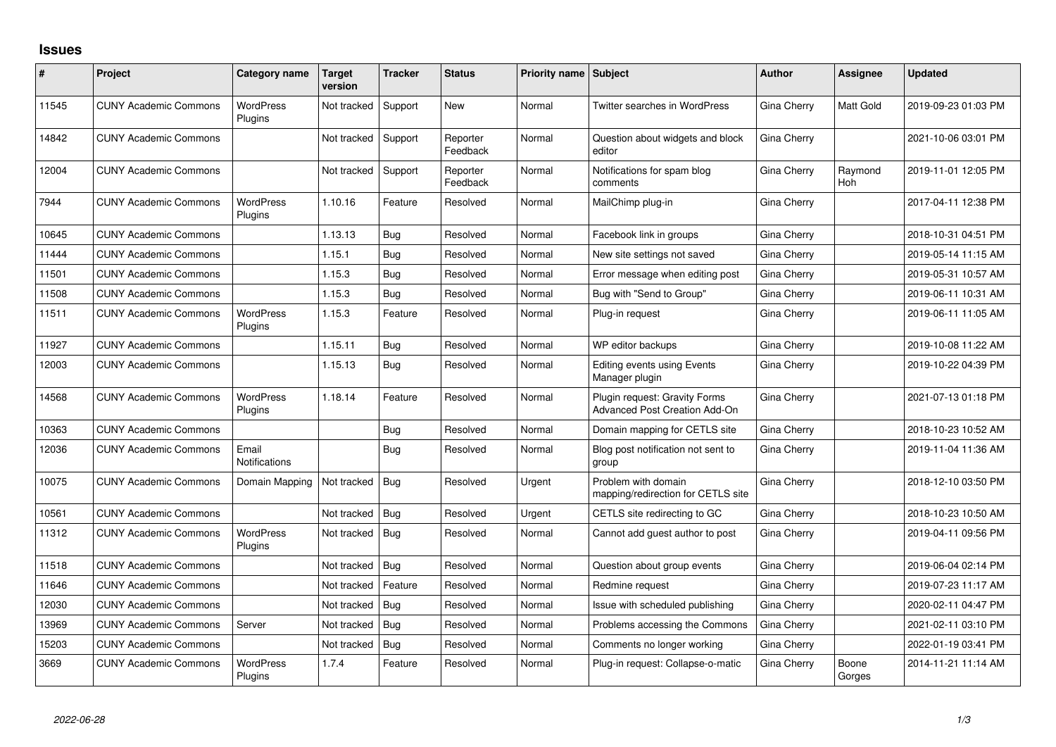## **Issues**

| #     | Project                      | Category name               | <b>Target</b><br>version | <b>Tracker</b> | <b>Status</b>        | <b>Priority name Subject</b> |                                                                | <b>Author</b> | <b>Assignee</b>       | <b>Updated</b>      |
|-------|------------------------------|-----------------------------|--------------------------|----------------|----------------------|------------------------------|----------------------------------------------------------------|---------------|-----------------------|---------------------|
| 11545 | <b>CUNY Academic Commons</b> | <b>WordPress</b><br>Plugins | Not tracked              | Support        | <b>New</b>           | Normal                       | <b>Twitter searches in WordPress</b>                           | Gina Cherry   | Matt Gold             | 2019-09-23 01:03 PM |
| 14842 | <b>CUNY Academic Commons</b> |                             | Not tracked              | Support        | Reporter<br>Feedback | Normal                       | Question about widgets and block<br>editor                     | Gina Cherry   |                       | 2021-10-06 03:01 PM |
| 12004 | <b>CUNY Academic Commons</b> |                             | Not tracked              | Support        | Reporter<br>Feedback | Normal                       | Notifications for spam blog<br>comments                        | Gina Cherry   | Raymond<br><b>Hoh</b> | 2019-11-01 12:05 PM |
| 7944  | <b>CUNY Academic Commons</b> | <b>WordPress</b><br>Plugins | 1.10.16                  | Feature        | Resolved             | Normal                       | MailChimp plug-in                                              | Gina Cherry   |                       | 2017-04-11 12:38 PM |
| 10645 | <b>CUNY Academic Commons</b> |                             | 1.13.13                  | Bug            | Resolved             | Normal                       | Facebook link in groups                                        | Gina Cherry   |                       | 2018-10-31 04:51 PM |
| 11444 | <b>CUNY Academic Commons</b> |                             | 1.15.1                   | Bug            | Resolved             | Normal                       | New site settings not saved                                    | Gina Cherry   |                       | 2019-05-14 11:15 AM |
| 11501 | <b>CUNY Academic Commons</b> |                             | 1.15.3                   | Bug            | Resolved             | Normal                       | Error message when editing post                                | Gina Cherry   |                       | 2019-05-31 10:57 AM |
| 11508 | <b>CUNY Academic Commons</b> |                             | 1.15.3                   | Bug            | Resolved             | Normal                       | Bug with "Send to Group"                                       | Gina Cherry   |                       | 2019-06-11 10:31 AM |
| 11511 | <b>CUNY Academic Commons</b> | <b>WordPress</b><br>Plugins | 1.15.3                   | Feature        | Resolved             | Normal                       | Plug-in request                                                | Gina Cherry   |                       | 2019-06-11 11:05 AM |
| 11927 | <b>CUNY Academic Commons</b> |                             | 1.15.11                  | Bug            | Resolved             | Normal                       | WP editor backups                                              | Gina Cherry   |                       | 2019-10-08 11:22 AM |
| 12003 | <b>CUNY Academic Commons</b> |                             | 1.15.13                  | Bug            | Resolved             | Normal                       | Editing events using Events<br>Manager plugin                  | Gina Cherry   |                       | 2019-10-22 04:39 PM |
| 14568 | <b>CUNY Academic Commons</b> | <b>WordPress</b><br>Plugins | 1.18.14                  | Feature        | Resolved             | Normal                       | Plugin request: Gravity Forms<br>Advanced Post Creation Add-On | Gina Cherry   |                       | 2021-07-13 01:18 PM |
| 10363 | <b>CUNY Academic Commons</b> |                             |                          | Bug            | Resolved             | Normal                       | Domain mapping for CETLS site                                  | Gina Cherry   |                       | 2018-10-23 10:52 AM |
| 12036 | <b>CUNY Academic Commons</b> | Email<br>Notifications      |                          | Bug            | Resolved             | Normal                       | Blog post notification not sent to<br>group                    | Gina Cherry   |                       | 2019-11-04 11:36 AM |
| 10075 | <b>CUNY Academic Commons</b> | Domain Mapping              | Not tracked              | Bug            | Resolved             | Urgent                       | Problem with domain<br>mapping/redirection for CETLS site      | Gina Cherry   |                       | 2018-12-10 03:50 PM |
| 10561 | <b>CUNY Academic Commons</b> |                             | Not tracked              | Bug            | Resolved             | Urgent                       | CETLS site redirecting to GC                                   | Gina Cherry   |                       | 2018-10-23 10:50 AM |
| 11312 | <b>CUNY Academic Commons</b> | <b>WordPress</b><br>Plugins | Not tracked              | Bug            | Resolved             | Normal                       | Cannot add guest author to post                                | Gina Cherry   |                       | 2019-04-11 09:56 PM |
| 11518 | <b>CUNY Academic Commons</b> |                             | Not tracked              | Bug            | Resolved             | Normal                       | Question about group events                                    | Gina Cherry   |                       | 2019-06-04 02:14 PM |
| 11646 | <b>CUNY Academic Commons</b> |                             | Not tracked              | Feature        | Resolved             | Normal                       | Redmine request                                                | Gina Cherry   |                       | 2019-07-23 11:17 AM |
| 12030 | <b>CUNY Academic Commons</b> |                             | Not tracked              | Bug            | Resolved             | Normal                       | Issue with scheduled publishing                                | Gina Cherry   |                       | 2020-02-11 04:47 PM |
| 13969 | <b>CUNY Academic Commons</b> | Server                      | Not tracked              | Bug            | Resolved             | Normal                       | Problems accessing the Commons                                 | Gina Cherry   |                       | 2021-02-11 03:10 PM |
| 15203 | <b>CUNY Academic Commons</b> |                             | Not tracked              | Bug            | Resolved             | Normal                       | Comments no longer working                                     | Gina Cherry   |                       | 2022-01-19 03:41 PM |
| 3669  | <b>CUNY Academic Commons</b> | <b>WordPress</b><br>Plugins | 1.7.4                    | Feature        | Resolved             | Normal                       | Plug-in request: Collapse-o-matic                              | Gina Cherry   | Boone<br>Gorges       | 2014-11-21 11:14 AM |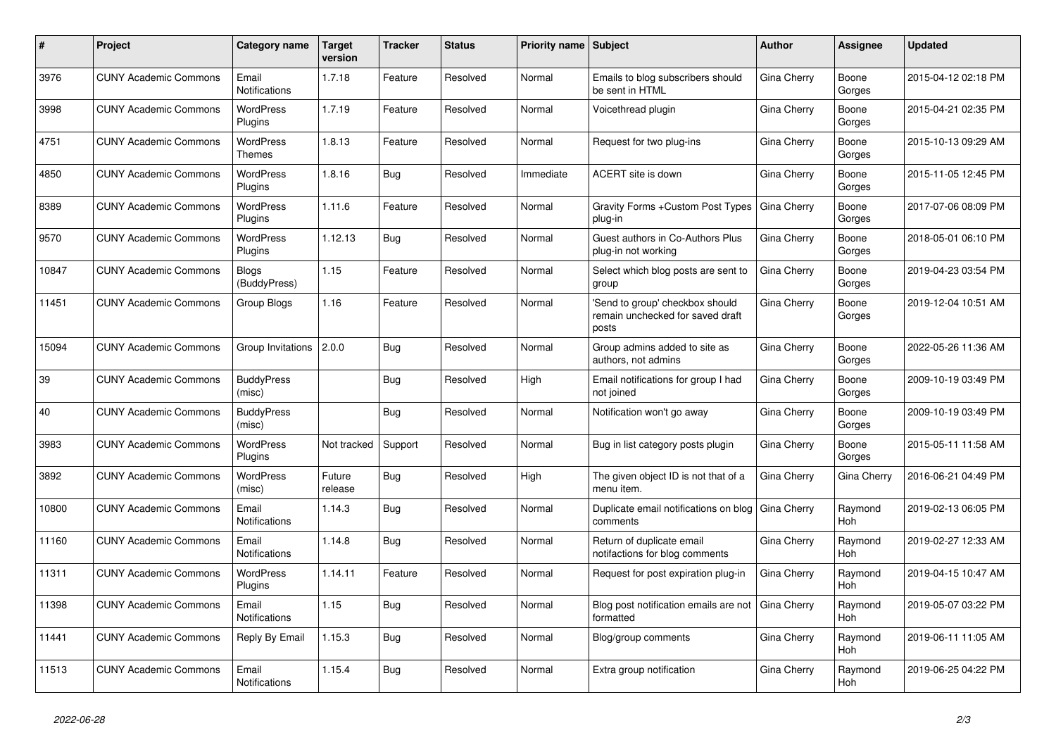| ∦     | Project                      | <b>Category name</b>          | <b>Target</b><br>version | <b>Tracker</b> | <b>Status</b> | <b>Priority name Subject</b> |                                                                              | <b>Author</b> | Assignee              | <b>Updated</b>      |
|-------|------------------------------|-------------------------------|--------------------------|----------------|---------------|------------------------------|------------------------------------------------------------------------------|---------------|-----------------------|---------------------|
| 3976  | <b>CUNY Academic Commons</b> | Email<br>Notifications        | 1.7.18                   | Feature        | Resolved      | Normal                       | Emails to blog subscribers should<br>be sent in HTML                         | Gina Cherry   | Boone<br>Gorges       | 2015-04-12 02:18 PM |
| 3998  | <b>CUNY Academic Commons</b> | <b>WordPress</b><br>Plugins   | 1.7.19                   | Feature        | Resolved      | Normal                       | Voicethread plugin                                                           | Gina Cherry   | Boone<br>Gorges       | 2015-04-21 02:35 PM |
| 4751  | <b>CUNY Academic Commons</b> | <b>WordPress</b><br>Themes    | 1.8.13                   | Feature        | Resolved      | Normal                       | Request for two plug-ins                                                     | Gina Cherry   | Boone<br>Gorges       | 2015-10-13 09:29 AM |
| 4850  | <b>CUNY Academic Commons</b> | <b>WordPress</b><br>Plugins   | 1.8.16                   | <b>Bug</b>     | Resolved      | Immediate                    | ACERT site is down                                                           | Gina Cherry   | Boone<br>Gorges       | 2015-11-05 12:45 PM |
| 8389  | <b>CUNY Academic Commons</b> | WordPress<br>Plugins          | 1.11.6                   | Feature        | Resolved      | Normal                       | Gravity Forms + Custom Post Types<br>plug-in                                 | Gina Cherry   | Boone<br>Gorges       | 2017-07-06 08:09 PM |
| 9570  | <b>CUNY Academic Commons</b> | <b>WordPress</b><br>Plugins   | 1.12.13                  | Bug            | Resolved      | Normal                       | Guest authors in Co-Authors Plus<br>plug-in not working                      | Gina Cherry   | Boone<br>Gorges       | 2018-05-01 06:10 PM |
| 10847 | <b>CUNY Academic Commons</b> | <b>Blogs</b><br>(BuddyPress)  | 1.15                     | Feature        | Resolved      | Normal                       | Select which blog posts are sent to<br>group                                 | Gina Cherry   | Boone<br>Gorges       | 2019-04-23 03:54 PM |
| 11451 | <b>CUNY Academic Commons</b> | Group Blogs                   | 1.16                     | Feature        | Resolved      | Normal                       | 'Send to group' checkbox should<br>remain unchecked for saved draft<br>posts | Gina Cherry   | Boone<br>Gorges       | 2019-12-04 10:51 AM |
| 15094 | <b>CUNY Academic Commons</b> | Group Invitations   2.0.0     |                          | Bug            | Resolved      | Normal                       | Group admins added to site as<br>authors, not admins                         | Gina Cherry   | Boone<br>Gorges       | 2022-05-26 11:36 AM |
| 39    | <b>CUNY Academic Commons</b> | <b>BuddyPress</b><br>(misc)   |                          | <b>Bug</b>     | Resolved      | High                         | Email notifications for group I had<br>not joined                            | Gina Cherry   | Boone<br>Gorges       | 2009-10-19 03:49 PM |
| 40    | <b>CUNY Academic Commons</b> | <b>BuddyPress</b><br>(misc)   |                          | <b>Bug</b>     | Resolved      | Normal                       | Notification won't go away                                                   | Gina Cherry   | Boone<br>Gorges       | 2009-10-19 03:49 PM |
| 3983  | <b>CUNY Academic Commons</b> | <b>WordPress</b><br>Plugins   | Not tracked              | Support        | Resolved      | Normal                       | Bug in list category posts plugin                                            | Gina Cherry   | Boone<br>Gorges       | 2015-05-11 11:58 AM |
| 3892  | <b>CUNY Academic Commons</b> | <b>WordPress</b><br>(misc)    | Future<br>release        | <b>Bug</b>     | Resolved      | High                         | The given object ID is not that of a<br>menu item.                           | Gina Cherry   | Gina Cherry           | 2016-06-21 04:49 PM |
| 10800 | <b>CUNY Academic Commons</b> | Email<br><b>Notifications</b> | 1.14.3                   | Bug            | Resolved      | Normal                       | Duplicate email notifications on blog<br>comments                            | Gina Cherry   | Raymond<br><b>Hoh</b> | 2019-02-13 06:05 PM |
| 11160 | <b>CUNY Academic Commons</b> | Email<br><b>Notifications</b> | 1.14.8                   | <b>Bug</b>     | Resolved      | Normal                       | Return of duplicate email<br>notifactions for blog comments                  | Gina Cherry   | Raymond<br>Hoh        | 2019-02-27 12:33 AM |
| 11311 | <b>CUNY Academic Commons</b> | <b>WordPress</b><br>Plugins   | 1.14.11                  | Feature        | Resolved      | Normal                       | Request for post expiration plug-in                                          | Gina Cherry   | Raymond<br>Hoh        | 2019-04-15 10:47 AM |
| 11398 | <b>CUNY Academic Commons</b> | Email<br><b>Notifications</b> | 1.15                     | Bug            | Resolved      | Normal                       | Blog post notification emails are not<br>formatted                           | Gina Cherry   | Raymond<br>Hoh        | 2019-05-07 03:22 PM |
| 11441 | <b>CUNY Academic Commons</b> | Reply By Email                | 1.15.3                   | Bug            | Resolved      | Normal                       | Blog/group comments                                                          | Gina Cherry   | Raymond<br>Hoh        | 2019-06-11 11:05 AM |
| 11513 | <b>CUNY Academic Commons</b> | Email<br><b>Notifications</b> | 1.15.4                   | Bug            | Resolved      | Normal                       | Extra group notification                                                     | Gina Cherry   | Raymond<br>Hoh        | 2019-06-25 04:22 PM |